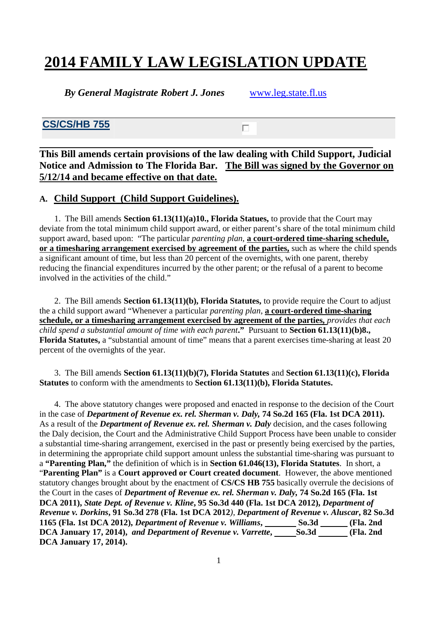# **2014 FAMILY LAW LEGISLATION UPDATE**

*By General Magistrate Robert J. Jones* www.leg.state.fl.us

# **CS/CS/HB 755**

п

**This Bill amends certain provisions of the law dealing with Child Support, Judicial Notice and Admission to The Florida Bar. The Bill was signed by the Governor on 5/12/14 and became effective on that date.**

### **A. Child Support (Child Support Guidelines).**

1. The Bill amends **Section 61.13(11)(a)10., Florida Statues,** to provide that the Court may deviate from the total minimum child support award, or either parent's share of the total minimum child support award, based upon: "The particular *parenting plan,* **a court-ordered time-sharing schedule, or a timesharing arrangement exercised by agreement of the parties,** such as where the child spends a significant amount of time, but less than 20 percent of the overnights, with one parent, thereby reducing the financial expenditures incurred by the other parent; or the refusal of a parent to become involved in the activities of the child."

2. The Bill amends **Section 61.13(11)(b), Florida Statutes,** to provide require the Court to adjust the a child support award "Whenever a particular *parenting plan*, **a court-ordered time-sharing schedule, or a timesharing arrangement exercised by agreement of the parties,** *provides that each child spend a substantial amount of time with each parent***."** Pursuant to **Section 61.13(11)(b)8., Florida Statutes,** a "substantial amount of time" means that a parent exercises time-sharing at least 20 percent of the overnights of the year.

3. The Bill amends **Section 61.13(11)(b)(7), Florida Statutes** and **Section 61.13(11)(c), Florida Statutes** to conform with the amendments to **Section 61.13(11)(b), Florida Statutes.**

4. The above statutory changes were proposed and enacted in response to the decision of the Court in the case of *Department of Revenue ex. rel. Sherman v. Daly,* **74 So.2d 165 (Fla. 1st DCA 2011).** As a result of the *Department of Revenue ex. rel. Sherman v. Daly* decision, and the cases following the Daly decision, the Court and the Administrative Child Support Process have been unable to consider a substantial time-sharing arrangement, exercised in the past or presently being exercised by the parties, in determining the appropriate child support amount unless the substantial time-sharing was pursuant to a **"Parenting Plan,"** the definition of which is in **Section 61.046(13), Florida Statutes**. In short, a "**Parenting Plan"** is a **Court approved or Court created document**. However, the above mentioned statutory changes brought about by the enactment of **CS/CS HB 755** basically overrule the decisions of the Court in the cases of *Department of Revenue ex. rel. Sherman v. Daly,* **74 So.2d 165 (Fla. 1st DCA 2011),** *State Dept. of Revenue v. Kline***, 95 So.3d 440 (Fla. 1st DCA 2012),** *Department of Revenue v. Dorkins***, 91 So.3d 278 (Fla. 1st DCA 2012***), Department of Revenue v. Aluscar***, 82 So.3d 1165 (Fla. 1st DCA 2012),** *Department of Revenue v. Williams***, So.3d So.3d Communisty Communisty Communisty Communisty Communisty Communisty Communisty Communisty Communisty Communisty Communisty Communisty Communisty Com DCA January 17, 2014),** and Department of Revenue v. Varrette, So.3d Communisty (Fla. 2nd **DCA January 17, 2014).**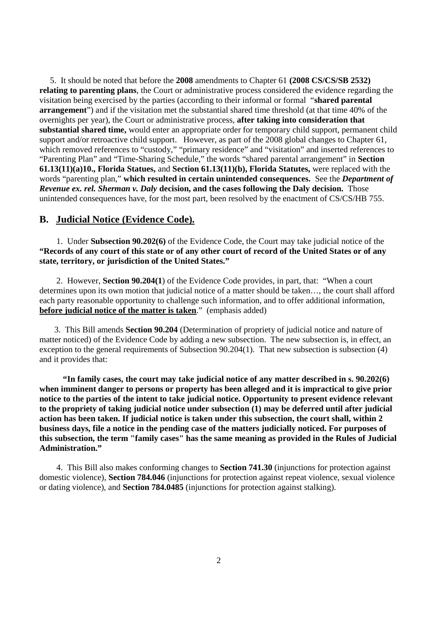5. It should be noted that before the **2008** amendments to Chapter 61 **(2008 CS/CS/SB 2532) relating to parenting plans**, the Court or administrative process considered the evidence regarding the visitation being exercised by the parties (according to their informal or formal "**shared parental arrangement**") and if the visitation met the substantial shared time threshold (at that time 40% of the overnights per year), the Court or administrative process, **after taking into consideration that substantial shared time,** would enter an appropriate order for temporary child support, permanent child support and/or retroactive child support. However, as part of the 2008 global changes to Chapter 61, which removed references to "custody," "primary residence" and "visitation" and inserted references to "Parenting Plan" and "Time-Sharing Schedule," the words "shared parental arrangement" in **Section 61.13(11)(a)10., Florida Statues,** and **Section 61.13(11)(b), Florida Statutes,** were replaced with the words "parenting plan," **which resulted in certain unintended consequences.** See the *Department of Revenue ex. rel. Sherman v. Daly* **decision, and the cases following the Daly decision.** Those unintended consequences have, for the most part, been resolved by the enactment of CS/CS/HB 755.

#### **B. Judicial Notice (Evidence Code).**

1. Under **Subsection 90.202(6)** of the Evidence Code, the Court may take judicial notice of the **"Records of any court of this state or of any other court of record of the United States or of any state, territory, or jurisdiction of the United States."**

2. However, **Section 90.204(1**) of the Evidence Code provides, in part, that: "When a court determines upon its own motion that judicial notice of a matter should be taken…, the court shall afford each party reasonable opportunity to challenge such information, and to offer additional information, **before judicial notice of the matter is taken**." (emphasis added)

3. This Bill amends **Section 90.204** (Determination of propriety of judicial notice and nature of matter noticed) of the Evidence Code by adding a new subsection. The new subsection is, in effect, an exception to the general requirements of Subsection 90.204(1). That new subsection is subsection (4) and it provides that:

**"In family cases, the court may take judicial notice of any matter described in s. 90.202(6) when imminent danger to persons or property has been alleged and it is impractical to give prior notice to the parties of the intent to take judicial notice. Opportunity to present evidence relevant to the propriety of taking judicial notice under subsection (1) may be deferred until after judicial action has been taken. If judicial notice is taken under this subsection, the court shall, within 2 business days, file a notice in the pending case of the matters judicially noticed. For purposes of this subsection, the term "family cases" has the same meaning as provided in the Rules of Judicial Administration."**

4. This Bill also makes conforming changes to **Section 741.30** (injunctions for protection against domestic violence), **Section 784.046** (injunctions for protection against repeat violence, sexual violence or dating violence), and **Section 784.0485** (injunctions for protection against stalking).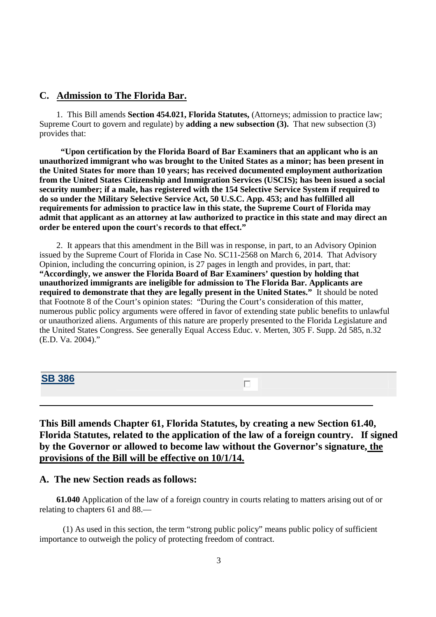#### **C. Admission to The Florida Bar.**

1. This Bill amends **Section 454.021, Florida Statutes,** (Attorneys; admission to practice law; Supreme Court to govern and regulate) by **adding a new subsection (3).** That new subsection (3) provides that:

**"Upon certification by the Florida Board of Bar Examiners that an applicant who is an unauthorized immigrant who was brought to the United States as a minor; has been present in the United States for more than 10 years; has received documented employment authorization from the United States Citizenship and Immigration Services (USCIS); has been issued a social security number; if a male, has registered with the 154 Selective Service System if required to do so under the Military Selective Service Act, 50 U.S.C. App. 453; and has fulfilled all requirements for admission to practice law in this state, the Supreme Court of Florida may admit that applicant as an attorney at law authorized to practice in this state and may direct an order be entered upon the court's records to that effect."**

2. It appears that this amendment in the Bill was in response, in part, to an Advisory Opinion issued by the Supreme Court of Florida in Case No. SC11-2568 on March 6, 2014. That Advisory Opinion, including the concurring opinion, is 27 pages in length and provides, in part, that: **"Accordingly, we answer the Florida Board of Bar Examiners' question by holding that unauthorized immigrants are ineligible for admission to The Florida Bar. Applicants are required to demonstrate that they are legally present in the United States."** It should be noted that Footnote 8 of the Court's opinion states: "During the Court's consideration of this matter, numerous public policy arguments were offered in favor of extending state public benefits to unlawful or unauthorized aliens. Arguments of this nature are properly presented to the Florida Legislature and the United States Congress. See generally Equal Access Educ. v. Merten, 305 F. Supp. 2d 585, n.32 (E.D. Va. 2004)."

## **SB 386**

п

**This Bill amends Chapter 61, Florida Statutes, by creating a new Section 61.40, Florida Statutes, related to the application of the law of a foreign country. If signed by the Governor or allowed to become law without the Governor's signature, the provisions of the Bill will be effective on 10/1/14.**

#### **A. The new Section reads as follows:**

**61.040** Application of the law of a foreign country in courts relating to matters arising out of or relating to chapters 61 and 88.—

(1) As used in this section, the term "strong public policy" means public policy of sufficient importance to outweigh the policy of protecting freedom of contract.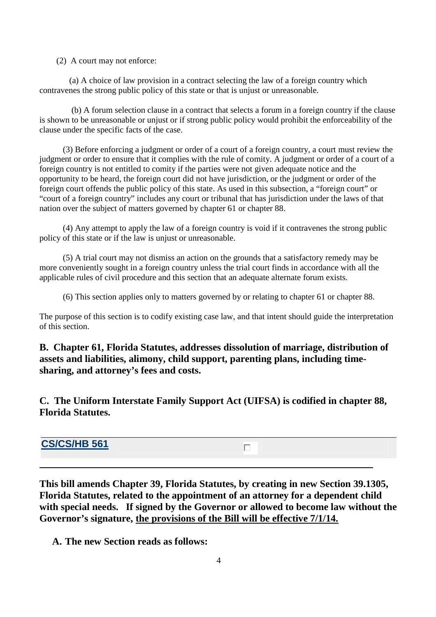(2) A court may not enforce:

(a) A choice of law provision in a contract selecting the law of a foreign country which contravenes the strong public policy of this state or that is unjust or unreasonable.

(b) A forum selection clause in a contract that selects a forum in a foreign country if the clause is shown to be unreasonable or unjust or if strong public policy would prohibit the enforceability of the clause under the specific facts of the case.

(3) Before enforcing a judgment or order of a court of a foreign country, a court must review the judgment or order to ensure that it complies with the rule of comity. A judgment or order of a court of a foreign country is not entitled to comity if the parties were not given adequate notice and the opportunity to be heard, the foreign court did not have jurisdiction, or the judgment or order of the foreign court offends the public policy of this state. As used in this subsection, a "foreign court" or "court of a foreign country" includes any court or tribunal that has jurisdiction under the laws of that nation over the subject of matters governed by chapter 61 or chapter 88.

(4) Any attempt to apply the law of a foreign country is void if it contravenes the strong public policy of this state or if the law is unjust or unreasonable.

(5) A trial court may not dismiss an action on the grounds that a satisfactory remedy may be more conveniently sought in a foreign country unless the trial court finds in accordance with all the applicable rules of civil procedure and this section that an adequate alternate forum exists.

(6) This section applies only to matters governed by or relating to chapter 61 or chapter 88.

The purpose of this section is to codify existing case law, and that intent should guide the interpretation of this section.

**B. Chapter 61, Florida Statutes, addresses dissolution of marriage, distribution of assets and liabilities, alimony, child support, parenting plans, including timesharing, and attorney's fees and costs.**

**C. The Uniform Interstate Family Support Act (UIFSA) is codified in chapter 88, Florida Statutes.**

**CS/CS/HB 561**

**This bill amends Chapter 39, Florida Statutes, by creating in new Section 39.1305, Florida Statutes, related to the appointment of an attorney for a dependent child with special needs. If signed by the Governor or allowed to become law without the Governor's signature, the provisions of the Bill will be effective 7/1/14.**

П

**A. The new Section reads as follows:**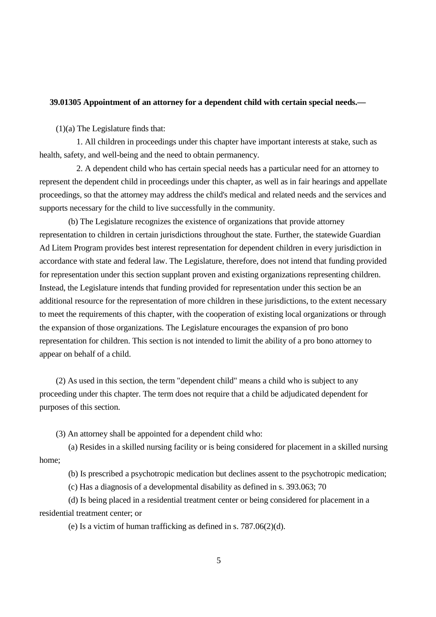#### **39.01305 Appointment of an attorney for a dependent child with certain special needs.—**

(1)(a) The Legislature finds that:

1. All children in proceedings under this chapter have important interests at stake, such as health, safety, and well-being and the need to obtain permanency.

2. A dependent child who has certain special needs has a particular need for an attorney to represent the dependent child in proceedings under this chapter, as well as in fair hearings and appellate proceedings, so that the attorney may address the child's medical and related needs and the services and supports necessary for the child to live successfully in the community.

(b) The Legislature recognizes the existence of organizations that provide attorney representation to children in certain jurisdictions throughout the state. Further, the statewide Guardian Ad Litem Program provides best interest representation for dependent children in every jurisdiction in accordance with state and federal law. The Legislature, therefore, does not intend that funding provided for representation under this section supplant proven and existing organizations representing children. Instead, the Legislature intends that funding provided for representation under this section be an additional resource for the representation of more children in these jurisdictions, to the extent necessary to meet the requirements of this chapter, with the cooperation of existing local organizations or through the expansion of those organizations. The Legislature encourages the expansion of pro bono representation for children. This section is not intended to limit the ability of a pro bono attorney to appear on behalf of a child.

(2) As used in this section, the term "dependent child" means a child who is subject to any proceeding under this chapter. The term does not require that a child be adjudicated dependent for purposes of this section.

(3) An attorney shall be appointed for a dependent child who:

(a) Resides in a skilled nursing facility or is being considered for placement in a skilled nursing home;

(b) Is prescribed a psychotropic medication but declines assent to the psychotropic medication;

(c) Has a diagnosis of a developmental disability as defined in s. 393.063; 70

(d) Is being placed in a residential treatment center or being considered for placement in a residential treatment center; or

(e) Is a victim of human trafficking as defined in s. 787.06(2)(d).